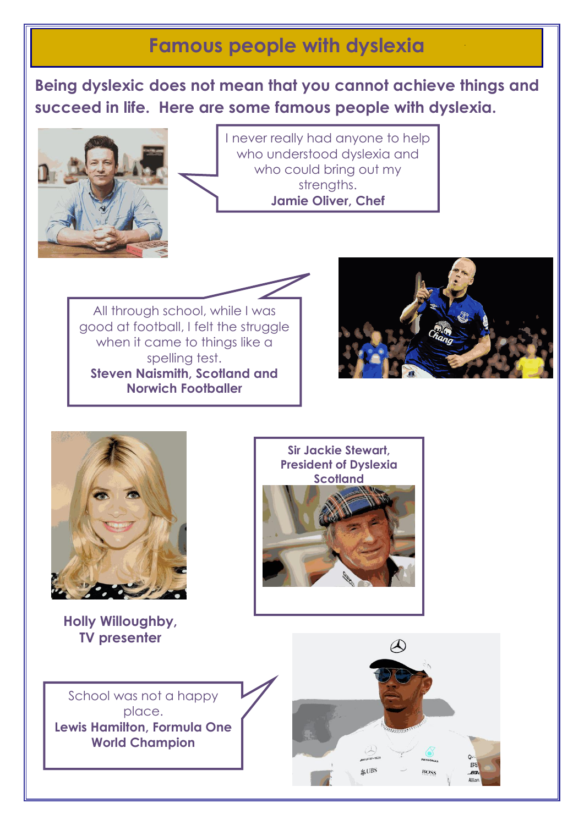## **Famous people with dyslexia**

**Being dyslexic does not mean that you cannot achieve things and succeed in life. Here are some famous people with dyslexia.**



I never really had anyone to help who understood dyslexia and who could bring out my strengths. **Jamie Oliver, Chef**

All through school, while I was good at football, I felt the struggle when it came to things like a spelling test. **Steven Naismith, Scotland and Norwich Footballer**





**Holly Willoughby, TV presenter**







 $\varDelta$